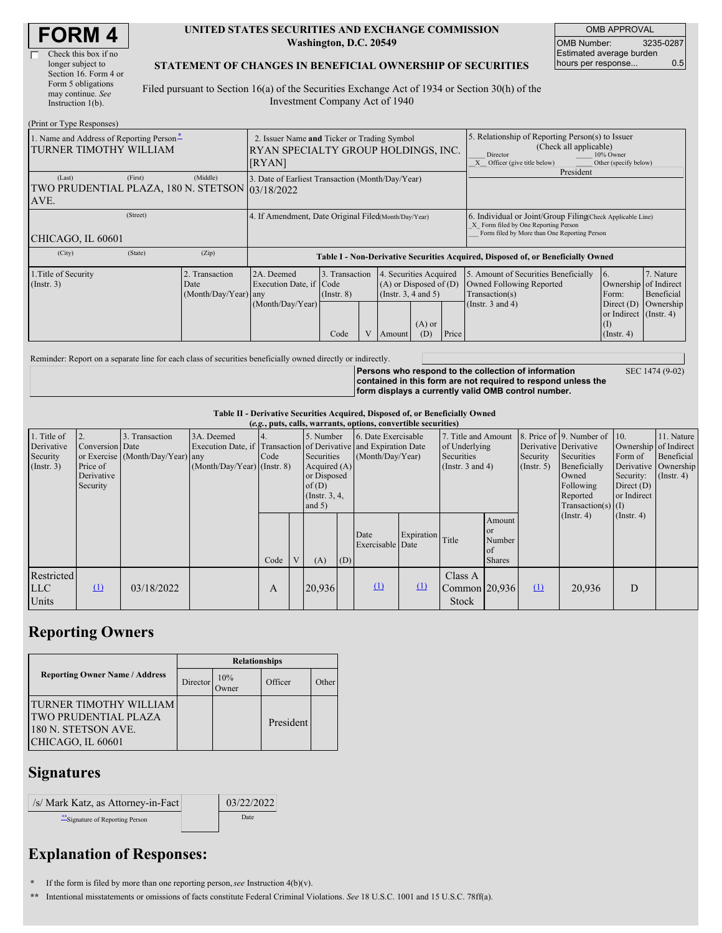| <b>FORM4</b> |  |
|--------------|--|
|--------------|--|

г

#### **UNITED STATES SECURITIES AND EXCHANGE COMMISSION Washington, D.C. 20549**

OMB APPROVAL OMB Number: 3235-0287 Estimated average burden hours per response... 0.5

SEC 1474 (9-02)

#### **STATEMENT OF CHANGES IN BENEFICIAL OWNERSHIP OF SECURITIES**

Filed pursuant to Section 16(a) of the Securities Exchange Act of 1934 or Section 30(h) of the Investment Company Act of 1940

| (Print or Type Responses)                                          |                                                                                              |                                                      |                                                                  |                                                                                                                   |  |                                                                                                                                                                            |                 |                                                                                                                                                    |                                                                                                             |                                                                                 |                                      |  |  |
|--------------------------------------------------------------------|----------------------------------------------------------------------------------------------|------------------------------------------------------|------------------------------------------------------------------|-------------------------------------------------------------------------------------------------------------------|--|----------------------------------------------------------------------------------------------------------------------------------------------------------------------------|-----------------|----------------------------------------------------------------------------------------------------------------------------------------------------|-------------------------------------------------------------------------------------------------------------|---------------------------------------------------------------------------------|--------------------------------------|--|--|
| 1. Name and Address of Reporting Person*<br>TURNER TIMOTHY WILLIAM | 2. Issuer Name and Ticker or Trading Symbol<br>RYAN SPECIALTY GROUP HOLDINGS, INC.<br>[RYAN] |                                                      |                                                                  |                                                                                                                   |  | 5. Relationship of Reporting Person(s) to Issuer<br>(Check all applicable)<br>10% Owner<br>Director<br>Other (specify below)<br>Officer (give title below)<br>$\mathbf{X}$ |                 |                                                                                                                                                    |                                                                                                             |                                                                                 |                                      |  |  |
| (Last)<br>TWO PRUDENTIAL PLAZA, 180 N. STETSON 03/18/2022<br>AVE.  | (Middle)                                                                                     | 3. Date of Earliest Transaction (Month/Day/Year)     |                                                                  |                                                                                                                   |  |                                                                                                                                                                            | President       |                                                                                                                                                    |                                                                                                             |                                                                                 |                                      |  |  |
| CHICAGO, IL 60601                                                  |                                                                                              | 4. If Amendment, Date Original Filed(Month/Day/Year) |                                                                  |                                                                                                                   |  |                                                                                                                                                                            |                 | 6. Individual or Joint/Group Filing Check Applicable Line)<br>X Form filed by One Reporting Person<br>Form filed by More than One Reporting Person |                                                                                                             |                                                                                 |                                      |  |  |
| (City)                                                             | (State)                                                                                      | (Zip)                                                |                                                                  |                                                                                                                   |  |                                                                                                                                                                            |                 |                                                                                                                                                    | Table I - Non-Derivative Securities Acquired, Disposed of, or Beneficially Owned                            |                                                                                 |                                      |  |  |
| 1. Title of Security<br>$($ Instr. 3 $)$                           |                                                                                              | Transaction<br>Date<br>(Month/Day/Year)              | 2A. Deemed<br>Execution Date, if Code<br>any<br>(Month/Day/Year) | 3. Transaction<br>4. Securities Acquired<br>$(A)$ or Disposed of $(D)$<br>(Insert. 3, 4 and 5)<br>$($ Instr. $8)$ |  |                                                                                                                                                                            |                 |                                                                                                                                                    | 5. Amount of Securities Beneficially<br>Owned Following Reported<br>Transaction(s)<br>(Instr. $3$ and $4$ ) | 16.<br>Ownership of Indirect<br>Form:<br>Direct $(D)$<br>or Indirect (Instr. 4) | 7. Nature<br>Beneficial<br>Ownership |  |  |
|                                                                    |                                                                                              |                                                      |                                                                  | Code                                                                                                              |  | Amount                                                                                                                                                                     | $(A)$ or<br>(D) | Price                                                                                                                                              |                                                                                                             | Œ<br>$($ Instr. 4)                                                              |                                      |  |  |

Reminder: Report on a separate line for each class of securities beneficially owned directly or indirectly.

**Persons who respond to the collection of information contained in this form are not required to respond unless the form displays a currently valid OMB control number.**

**Table II - Derivative Securities Acquired, Disposed of, or Beneficially Owned**

|                  | (e.g., puts, calls, warrants, options, convertible securities) |                                  |                               |      |  |                  |     |                                                                  |              |                     |               |                       |                              |                  |                       |
|------------------|----------------------------------------------------------------|----------------------------------|-------------------------------|------|--|------------------|-----|------------------------------------------------------------------|--------------|---------------------|---------------|-----------------------|------------------------------|------------------|-----------------------|
| 1. Title of      |                                                                | 3. Transaction                   | 3A. Deemed                    |      |  | 5. Number        |     | 6. Date Exercisable                                              |              | 7. Title and Amount |               |                       | 8. Price of 9. Number of 10. |                  | 11. Nature            |
| Derivative       | Conversion Date                                                |                                  |                               |      |  |                  |     | Execution Date, if Transaction of Derivative and Expiration Date |              | of Underlying       |               | Derivative Derivative |                              |                  | Ownership of Indirect |
| Security         |                                                                | or Exercise (Month/Day/Year) any |                               | Code |  | Securities       |     | (Month/Day/Year)                                                 |              | Securities          |               | Security              | Securities                   | Form of          | Beneficial            |
| $($ Instr. 3 $)$ | Price of                                                       |                                  | $(Month/Day/Year)$ (Instr. 8) |      |  | Acquired $(A)$   |     | (Instr. $3$ and $4$ )                                            |              | (Insert. 5)         | Beneficially  |                       | Derivative Ownership         |                  |                       |
|                  | Derivative                                                     |                                  |                               |      |  | or Disposed      |     |                                                                  |              |                     |               |                       | Owned                        | Security:        | $($ Instr. 4)         |
|                  | Security                                                       |                                  |                               |      |  | of(D)            |     |                                                                  |              |                     |               | Following             | Direct $(D)$                 |                  |                       |
|                  |                                                                |                                  |                               |      |  | (Instr. $3, 4$ , |     |                                                                  |              |                     |               |                       | Reported                     | or Indirect      |                       |
|                  |                                                                |                                  |                               |      |  | and $5)$         |     |                                                                  |              |                     |               |                       | $Transaction(s)$ (I)         |                  |                       |
|                  |                                                                |                                  |                               |      |  |                  |     |                                                                  |              |                     | Amount        |                       | $($ Instr. 4 $)$             | $($ Instr. 4 $)$ |                       |
|                  |                                                                |                                  |                               |      |  |                  |     | Date                                                             | Expiration   |                     | <sub>or</sub> |                       |                              |                  |                       |
|                  |                                                                |                                  |                               |      |  |                  |     | Exercisable Date                                                 |              | Title               | Number        |                       |                              |                  |                       |
|                  |                                                                |                                  |                               |      |  |                  |     |                                                                  |              |                     | of            |                       |                              |                  |                       |
|                  |                                                                |                                  |                               | Code |  | (A)              | (D) |                                                                  |              |                     | <b>Shares</b> |                       |                              |                  |                       |
| Restricted       |                                                                |                                  |                               |      |  |                  |     |                                                                  |              | Class A             |               |                       |                              |                  |                       |
| <b>LLC</b>       | $\Omega$                                                       | 03/18/2022                       |                               | A    |  | 20,936           |     | $\Omega$                                                         | $\mathbf{u}$ | Common 120.936      |               | $\Omega$              | 20,936                       | D                |                       |
| Units            |                                                                |                                  |                               |      |  |                  |     |                                                                  |              | <b>Stock</b>        |               |                       |                              |                  |                       |
|                  |                                                                |                                  |                               |      |  |                  |     |                                                                  |              |                     |               |                       |                              |                  |                       |

## **Reporting Owners**

|                                                    | <b>Relationships</b> |              |           |       |  |  |  |  |
|----------------------------------------------------|----------------------|--------------|-----------|-------|--|--|--|--|
| <b>Reporting Owner Name / Address</b>              | Director             | 10%<br>Owner | Officer   | Other |  |  |  |  |
| <b>TURNER TIMOTHY WILLIAM</b>                      |                      |              |           |       |  |  |  |  |
| <b>TWO PRUDENTIAL PLAZA</b><br>180 N. STETSON AVE. |                      |              | President |       |  |  |  |  |
| CHICAGO, IL 60601                                  |                      |              |           |       |  |  |  |  |

### **Signatures**

| /s/ Mark Katz, as Attorney-in-Fact | 03/22/2022  |
|------------------------------------|-------------|
| "Signature of Reporting Person     | <b>Date</b> |

# **Explanation of Responses:**

**\*** If the form is filed by more than one reporting person,*see* Instruction 4(b)(v).

**\*\*** Intentional misstatements or omissions of facts constitute Federal Criminal Violations. *See* 18 U.S.C. 1001 and 15 U.S.C. 78ff(a).